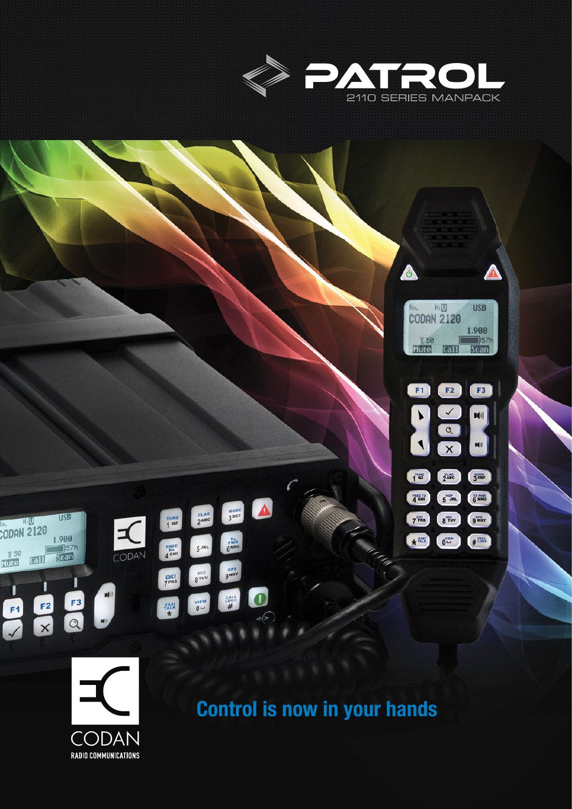





## Control is now in your hands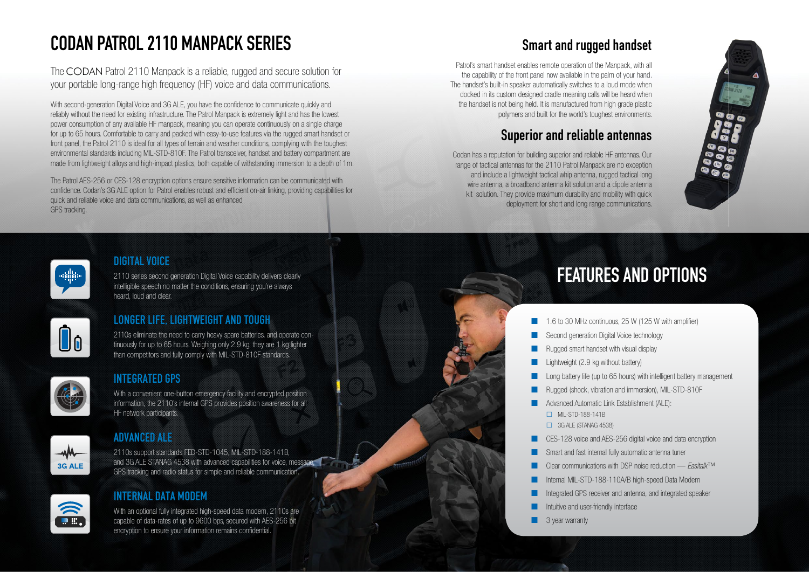# CODAN PATROL 2110 MANPACK SERIES

The CODAN Patrol 2110 Manpack is a reliable, rugged and secure solution for your portable long-range high frequency (HF) voice and data communications.

With second-generation Digital Voice and 3G ALE, you have the confidence to communicate quickly and reliably without the need for existing infrastructure. The Patrol Manpack is extremely light and has the lowest power consumption of any available HF manpack, meaning you can operate continuously on a single charge for up to 65 hours. Comfortable to carry and packed with easy-to-use features via the rugged smart handset or front panel, the Patrol 2110 is ideal for all types of terrain and weather conditions, complying with the toughest environmental standards including MIL-STD-810F. The Patrol transceiver, handset and battery compartment are made from lightweight alloys and high-impact plastics, both capable of withstanding immersion to a depth of 1m.

> With an optional fully integrated high-speed data modem, 2110s are capable of data-rates of up to 9600 bps, secured with AES-256 bit encryption to ensure your information remains confidential

The Patrol AES-256 or CES-128 encryption options ensure sensitive information can be communicated with confidence. Codan's 3G ALE option for Patrol enables robust and efficient on-air linking, providing capabilities for quick and reliable voice and data communications, as well as enhanced GPS tracking.

#### DIGITAL VOICE

2110 series second generation Digital Voice capability delivers clearly intelligible speech no matter the conditions, ensuring you're always heard, loud and clear.



- 1.6 to 30 MHz continuous, 25 W (125 W with amplifier)
- Second generation Digital Voice technology
- Rugged smart handset with visual display
- $L$ ightweight (2.9 kg without battery)
- Long battery life (up to 65 hours) with intelligent battery management
- Rugged (shock, vibration and immersion), MIL-STD-810F
- **Advanced Automatic Link Establishment (ALE):** MIL-STD-188-141B  $\Box$  3G ALE (STANAG 4538)
- Smart and fast internal fully automatic antenna tuner Clear communications with DSP noise reduction — *Easitalk*™ Internal MIL-STD-188-110A/B high-speed Data Modem Integrated GPS receiver and antenna, and integrated speaker Intuitive and user-friendly interface
- **CES-128** voice and AES-256 digital voice and data encryption
- 
- 
- 
- 
- 3 year warranty



- 
- 

2110s eliminate the need to carry heavy spare batteries. and operate continuously for up to 65 hours. Weighing only 2.9 kg, they are 1 kg lighter than competitors and fully comply with MIL-STD-810F standards.



Oo

#### INTEGRATED GPS

With a convenient one-button emergency facility and encrypted position information, the 2110's internal GPS provides position awareness for all HF network participants.



 $\overline{\mathbf{w}}$ 

### ADVANCED ALE

2110s support standards FED-STD-1045, MIL-STD-188-141B, and 3G ALE STANAG 4538 with advanced capabilities for voice, message, GPS tracking and radio status for simple and reliable communication.

### INTERNAL DATA MODEM

# FEATURES AND OPTIONS

# Smart and rugged handset

Patrol's smart handset enables remote operation of the Manpack, with all the capability of the front panel now available in the palm of your hand. The handset's built-in speaker automatically switches to a loud mode when docked in its custom designed cradle meaning calls will be heard when the handset is not being held. It is manufactured from high grade plastic polymers and built for the world's toughest environments.

## Superior and reliable antennas

Codan has a reputation for building superior and reliable HF antennas. Our range of tactical antennas for the 2110 Patrol Manpack are no exception and include a lightweight tactical whip antenna, rugged tactical long wire antenna, a broadband antenna kit solution and a dipole antenna kit solution. They provide maximum durability and mobility with quick deployment for short and long range communications.